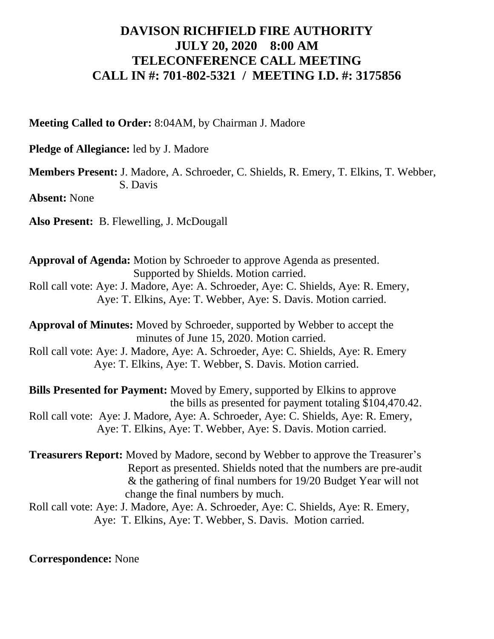## **DAVISON RICHFIELD FIRE AUTHORITY JULY 20, 2020 8:00 AM TELECONFERENCE CALL MEETING CALL IN #: 701-802-5321 / MEETING I.D. #: 3175856**

**Meeting Called to Order:** 8:04AM, by Chairman J. Madore

**Pledge of Allegiance:** led by J. Madore

**Members Present:** J. Madore, A. Schroeder, C. Shields, R. Emery, T. Elkins, T. Webber, S. Davis

**Absent:** None

**Also Present:** B. Flewelling, J. McDougall

**Approval of Agenda:** Motion by Schroeder to approve Agenda as presented. Supported by Shields. Motion carried. Roll call vote: Aye: J. Madore, Aye: A. Schroeder, Aye: C. Shields, Aye: R. Emery, Aye: T. Elkins, Aye: T. Webber, Aye: S. Davis. Motion carried.

**Approval of Minutes:** Moved by Schroeder, supported by Webber to accept the minutes of June 15, 2020. Motion carried.

Roll call vote: Aye: J. Madore, Aye: A. Schroeder, Aye: C. Shields, Aye: R. Emery Aye: T. Elkins, Aye: T. Webber, S. Davis. Motion carried.

**Bills Presented for Payment:** Moved by Emery, supported by Elkins to approve the bills as presented for payment totaling \$104,470.42. Roll call vote: Aye: J. Madore, Aye: A. Schroeder, Aye: C. Shields, Aye: R. Emery, Aye: T. Elkins, Aye: T. Webber, Aye: S. Davis. Motion carried.

**Treasurers Report:** Moved by Madore, second by Webber to approve the Treasurer's Report as presented. Shields noted that the numbers are pre-audit & the gathering of final numbers for 19/20 Budget Year will not change the final numbers by much.

Roll call vote: Aye: J. Madore, Aye: A. Schroeder, Aye: C. Shields, Aye: R. Emery, Aye: T. Elkins, Aye: T. Webber, S. Davis. Motion carried.

**Correspondence:** None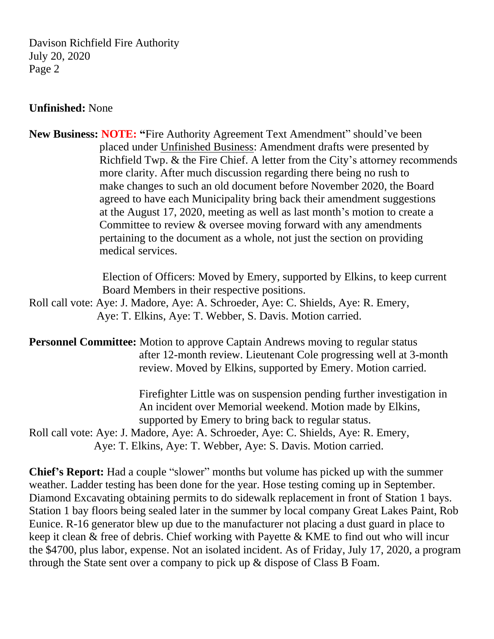Davison Richfield Fire Authority July 20, 2020 Page 2

## **Unfinished:** None

**New Business: NOTE: "**Fire Authority Agreement Text Amendment" should've been placed under Unfinished Business: Amendment drafts were presented by Richfield Twp. & the Fire Chief. A letter from the City's attorney recommends more clarity. After much discussion regarding there being no rush to make changes to such an old document before November 2020, the Board agreed to have each Municipality bring back their amendment suggestions at the August 17, 2020, meeting as well as last month's motion to create a Committee to review & oversee moving forward with any amendments pertaining to the document as a whole, not just the section on providing medical services.

> Election of Officers: Moved by Emery, supported by Elkins, to keep current Board Members in their respective positions.

Roll call vote: Aye: J. Madore, Aye: A. Schroeder, Aye: C. Shields, Aye: R. Emery, Aye: T. Elkins, Aye: T. Webber, S. Davis. Motion carried.

**Personnel Committee:** Motion to approve Captain Andrews moving to regular status after 12-month review. Lieutenant Cole progressing well at 3-month review. Moved by Elkins, supported by Emery. Motion carried.

> Firefighter Little was on suspension pending further investigation in An incident over Memorial weekend. Motion made by Elkins, supported by Emery to bring back to regular status.

Roll call vote: Aye: J. Madore, Aye: A. Schroeder, Aye: C. Shields, Aye: R. Emery, Aye: T. Elkins, Aye: T. Webber, Aye: S. Davis. Motion carried.

**Chief's Report:** Had a couple "slower" months but volume has picked up with the summer weather. Ladder testing has been done for the year. Hose testing coming up in September. Diamond Excavating obtaining permits to do sidewalk replacement in front of Station 1 bays. Station 1 bay floors being sealed later in the summer by local company Great Lakes Paint, Rob Eunice. R-16 generator blew up due to the manufacturer not placing a dust guard in place to keep it clean & free of debris. Chief working with Payette & KME to find out who will incur the \$4700, plus labor, expense. Not an isolated incident. As of Friday, July 17, 2020, a program through the State sent over a company to pick up & dispose of Class B Foam.